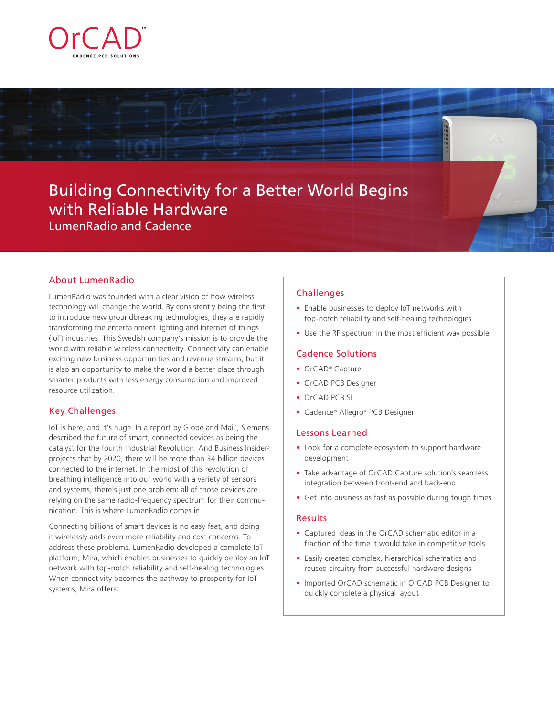

# Building Connectivity for a Better World Begins with Reliable Hardware LumenRadio and Cadence

## About LumenRadio

LumenRadio was founded with a clear vision of how wireless technology will change the world. By consistently being the first to introduce new groundbreaking technologies, they are rapidly transforming the entertainment lighting and internet of things (IoT) industries. This Swedish company's mission is to provide the world with reliable wireless connectivity. Connectivity can enable exciting new business opportunities and revenue streams, but it is also an opportunity to make the world a better place through smarter products with less energy consumption and improved resource utilization.

## Key Challenges

loT is here, and it's huge. In a report by Globe and Mail<sup>1</sup>, Siemens described the future of smart, connected devices as being the catalyst for the fourth Industrial Revolution. And Business Insider2 projects that by 2020, there will be more than 34 billion devices connected to the internet. In the midst of this revolution of breathing intelligence into our world with a variety of sensors and systems, there's just one problem: all of those devices are relying on the same radio-frequency spectrum for their communication. This is where LumenRadio comes in.

Connecting billions of smart devices is no easy feat, and doing it wirelessly adds even more reliability and cost concerns. To address these problems, LumenRadio developed a complete IoT platform, Mira, which enables businesses to quickly deploy an IoT network with top-notch reliability and self-healing technologies. When connectivity becomes the pathway to prosperity for IoT systems, Mira offers:

## **Challenges**

- **•** Enable businesses to deploy IoT networks with top-notch reliability and self-healing technologies
- **•** Use the RF spectrum in the most efficient way possible

## Cadence Solutions

- **•** OrCAD® Capture
- **•** OrCAD PCB Designer
- **•** OrCAD PCB SI
- **•** Cadence® Allegro® PCB Designer

## Lessons Learned

- **•** Look for a complete ecosystem to support hardware development
- **•** Take advantage of OrCAD Capture solution's seamless integration between front-end and back-end
- **•** Get into business as fast as possible during tough times

#### Results

- **•** Captured ideas in the OrCAD schematic editor in a fraction of the time it would take in competitive tools
- **•** Easily created complex, hierarchical schematics and reused circuitry from successful hardware designs
- **•** Imported OrCAD schematic in OrCAD PCB Designer to quickly complete a physical layout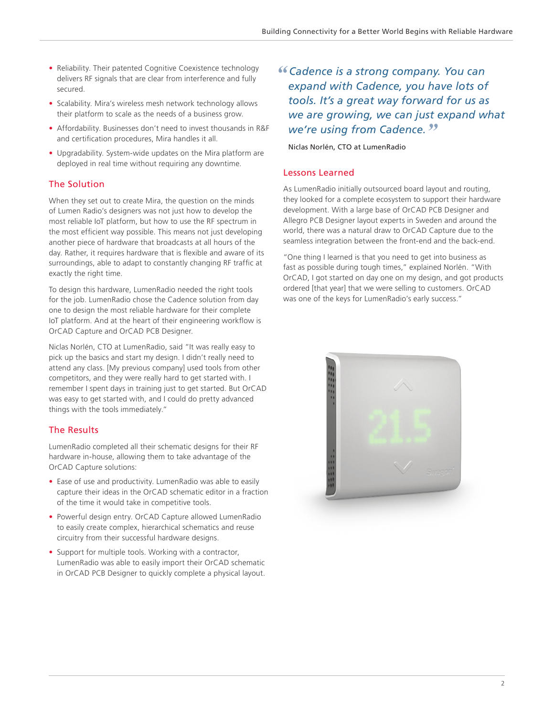- **•** Reliability. Their patented Cognitive Coexistence technology delivers RF signals that are clear from interference and fully secured.
- **•** Scalability. Mira's wireless mesh network technology allows their platform to scale as the needs of a business grow.
- **•** Affordability. Businesses don't need to invest thousands in R&F and certification procedures, Mira handles it all.
- **•** Upgradability. System-wide updates on the Mira platform are deployed in real time without requiring any downtime.

# The Solution

When they set out to create Mira, the question on the minds of Lumen Radio's designers was not just how to develop the most reliable IoT platform, but how to use the RF spectrum in the most efficient way possible. This means not just developing another piece of hardware that broadcasts at all hours of the day. Rather, it requires hardware that is flexible and aware of its surroundings, able to adapt to constantly changing RF traffic at exactly the right time.

To design this hardware, LumenRadio needed the right tools for the job. LumenRadio chose the Cadence solution from day one to design the most reliable hardware for their complete IoT platform. And at the heart of their engineering workflow is OrCAD Capture and OrCAD PCB Designer.

Niclas Norlén, CTO at LumenRadio, said "It was really easy to pick up the basics and start my design. I didn't really need to attend any class. [My previous company] used tools from other competitors, and they were really hard to get started with. I remember I spent days in training just to get started. But OrCAD was easy to get started with, and I could do pretty advanced things with the tools immediately."

# The Results

LumenRadio completed all their schematic designs for their RF hardware in-house, allowing them to take advantage of the OrCAD Capture solutions:

- **•** Ease of use and productivity. LumenRadio was able to easily capture their ideas in the OrCAD schematic editor in a fraction of the time it would take in competitive tools.
- **•** Powerful design entry. OrCAD Capture allowed LumenRadio to easily create complex, hierarchical schematics and reuse circuitry from their successful hardware designs.
- **•** Support for multiple tools. Working with a contractor, LumenRadio was able to easily import their OrCAD schematic in OrCAD PCB Designer to quickly complete a physical layout.

*" Cadence is a strong company. You can expand with Cadence, you have lots of tools. It's a great way forward for us as we are growing, we can just expand what we're using from Cadence."*

## Niclas Norlén, CTO at LumenRadio

# Lessons Learned

As LumenRadio initially outsourced board layout and routing, they looked for a complete ecosystem to support their hardware development. With a large base of OrCAD PCB Designer and Allegro PCB Designer layout experts in Sweden and around the world, there was a natural draw to OrCAD Capture due to the seamless integration between the front-end and the back-end.

"One thing I learned is that you need to get into business as fast as possible during tough times," explained Norlén. "With OrCAD, I got started on day one on my design, and got products ordered [that year] that we were selling to customers. OrCAD was one of the keys for LumenRadio's early success."